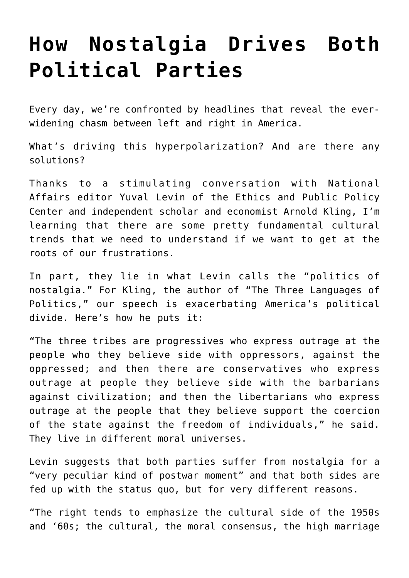## **[How Nostalgia Drives Both](https://intellectualtakeout.org/2019/01/how-nostalgia-drives-both-political-parties/) [Political Parties](https://intellectualtakeout.org/2019/01/how-nostalgia-drives-both-political-parties/)**

Every day, we're confronted by headlines that reveal the everwidening chasm between left and right in America.

What's driving this hyperpolarization? And are there any solutions?

Thanks to a stimulating conversation with National Affairs editor Yuval Levin of the Ethics and Public Policy Center and independent scholar and economist Arnold Kling, I'm learning that there are some pretty fundamental cultural trends that we need to understand if we want to get at the roots of our frustrations.

In part, they lie in what Levin calls the "politics of nostalgia." For Kling, the author of "The Three Languages of Politics," our speech is exacerbating America's political divide. Here's how he puts it:

"The three tribes are progressives who express outrage at the people who they believe side with oppressors, against the oppressed; and then there are conservatives who express outrage at people they believe side with the barbarians against civilization; and then the libertarians who express outrage at the people that they believe support the coercion of the state against the freedom of individuals," he said. They live in different moral universes.

Levin suggests that both parties suffer from nostalgia for a "very peculiar kind of postwar moment" and that both sides are fed up with the status quo, but for very different reasons.

"The right tends to emphasize the cultural side of the 1950s and '60s; the cultural, the moral consensus, the high marriage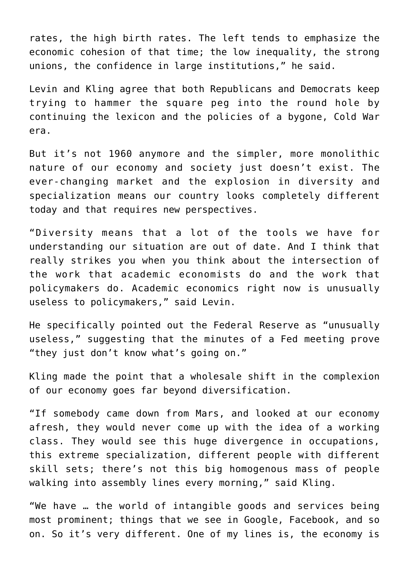rates, the high birth rates. The left tends to emphasize the economic cohesion of that time; the low inequality, the strong unions, the confidence in large institutions," he said.

Levin and Kling agree that both Republicans and Democrats keep trying to hammer the square peg into the round hole by continuing the lexicon and the policies of a bygone, Cold War era.

But it's not 1960 anymore and the simpler, more monolithic nature of our economy and society just doesn't exist. The ever-changing market and the explosion in diversity and specialization means our country looks completely different today and that requires new perspectives.

"Diversity means that a lot of the tools we have for understanding our situation are out of date. And I think that really strikes you when you think about the intersection of the work that academic economists do and the work that policymakers do. Academic economics right now is unusually useless to policymakers," said Levin.

He specifically pointed out the Federal Reserve as "unusually useless," suggesting that the minutes of a Fed meeting prove "they just don't know what's going on."

Kling made the point that a wholesale shift in the complexion of our economy goes far beyond diversification.

"If somebody came down from Mars, and looked at our economy afresh, they would never come up with the idea of a working class. They would see this huge divergence in occupations, this extreme specialization, different people with different skill sets; there's not this big homogenous mass of people walking into assembly lines every morning," said Kling.

"We have … the world of intangible goods and services being most prominent; things that we see in Google, Facebook, and so on. So it's very different. One of my lines is, the economy is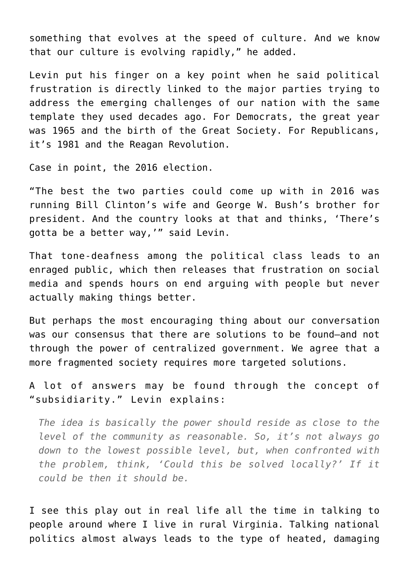something that evolves at the speed of culture. And we know that our culture is evolving rapidly," he added.

Levin put his finger on a key point when he said political frustration is directly linked to the major parties trying to address the emerging challenges of our nation with the same template they used decades ago. For Democrats, the great year was 1965 and the birth of the Great Society. For Republicans, it's 1981 and the Reagan Revolution.

Case in point, the 2016 election.

"The best the two parties could come up with in 2016 was running Bill Clinton's wife and George W. Bush's brother for president. And the country looks at that and thinks, 'There's gotta be a better way,'" said Levin.

That tone-deafness among the political class leads to an enraged public, which then releases that frustration on social media and spends hours on end arguing with people but never actually making things better.

But perhaps the most encouraging thing about our conversation was our consensus that there are solutions to be found—and not through the power of centralized government. We agree that a more fragmented society requires more targeted solutions.

A lot of answers may be found through the concept of "subsidiarity." Levin explains:

*The idea is basically the power should reside as close to the level of the community as reasonable. So, it's not always go down to the lowest possible level, but, when confronted with the problem, think, 'Could this be solved locally?' If it could be then it should be.*

I see this play out in real life all the time in talking to people around where I live in rural Virginia. Talking national politics almost always leads to the type of heated, damaging